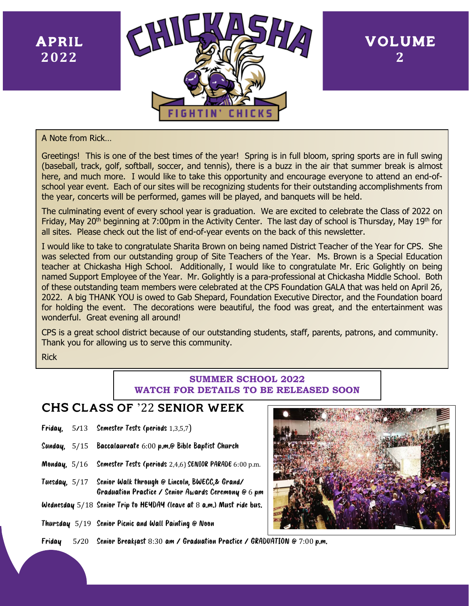**www.** April **2022**



VOLUME **2**

A Note from Rick…

Greetings! This is one of the best times of the year! Spring is in full bloom, spring sports are in full swing (baseball, track, golf, softball, soccer, and tennis), there is a buzz in the air that summer break is almost here, and much more. I would like to take this opportunity and encourage everyone to attend an end-ofschool year event. Each of our sites will be recognizing students for their outstanding accomplishments from the year, concerts will be performed, games will be played, and banquets will be held.

The culminating event of every school year is graduation. We are excited to celebrate the Class of 2022 on Friday, May 20<sup>th</sup> beginning at 7:00pm in the Activity Center. The last day of school is Thursday, May 19<sup>th</sup> for all sites. Please check out the list of end-of-year events on the back of this newsletter.

I would like to take to congratulate Sharita Brown on being named District Teacher of the Year for CPS. She was selected from our outstanding group of Site Teachers of the Year. Ms. Brown is a Special Education teacher at Chickasha High School. Additionally, I would like to congratulate Mr. Eric Golightly on being named Support Employee of the Year. Mr. Golightly is a para-professional at Chickasha Middle School. Both of these outstanding team members were celebrated at the CPS Foundation GALA that was held on April 26, 2022. A big THANK YOU is owed to Gab Shepard, Foundation Executive Director, and the Foundation board for holding the event. The decorations were beautiful, the food was great, and the entertainment was wonderful. Great evening all around!

CPS is a great school district because of our outstanding students, staff, parents, patrons, and community. Thank you for allowing us to serve this community.

Rick

## **SUMMER SCHOOL 2022 WATCH FOR DETAILS TO BE RELEASED SOON**

## CHS Class of '22 senior week

- Friday, 5/13 Semester Tests (periods 1,3,5,7)
- Sunday, 5/15 Baccalaureate 6:00 p.m.@ Bible Baptist Church
- Monday, 5/16 Semester Tests (periods 2,4,6) SENIOR PARADE 6:00 p.m.
- Tuesday, 5/17 Senior Walk through @ Lincoln, BWECC,& Grand/ Graduation Practice / Senior Awards Ceremony @ 6 pm
- Wednesday 5/18 Senior Trip to HEYDAY (leave at 8 a.m.) Must ride bus.
- Thursday 5/19 Senior Picnic and Wall Painting @ Noon



Friday 5/20 Senior Breakfast 8:30 am / Graduation Practice / GRADUATION @ 7:00 p.m.